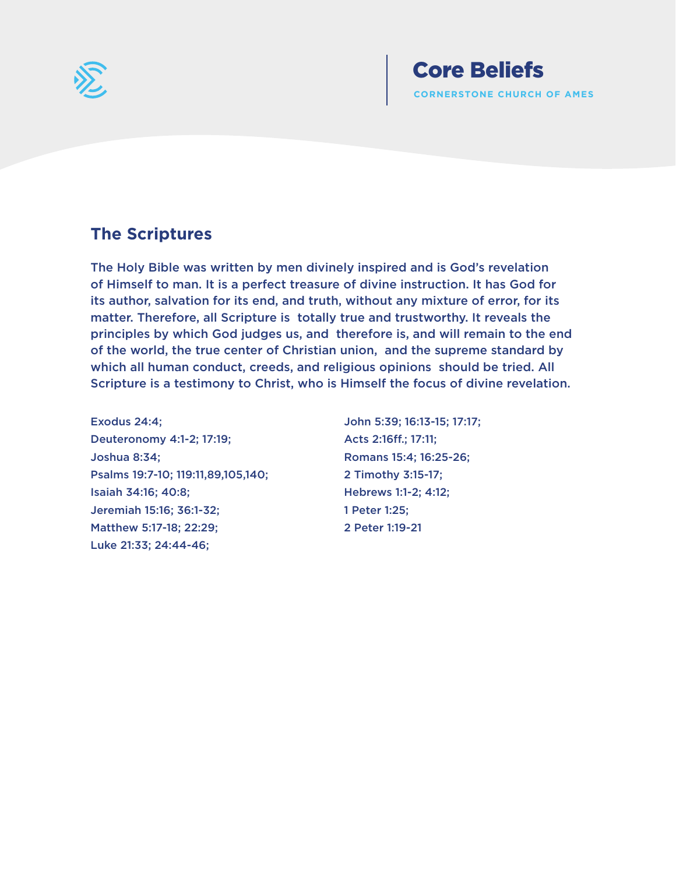

### **The Scriptures**

The Holy Bible was written by men divinely inspired and is God's revelation of Himself to man. It is a perfect treasure of divine instruction. It has God for its author, salvation for its end, and truth, without any mixture of error, for its matter. Therefore, all Scripture is totally true and trustworthy. It reveals the principles by which God judges us, and therefore is, and will remain to the end of the world, the true center of Christian union, and the supreme standard by which all human conduct, creeds, and religious opinions should be tried. All Scripture is a testimony to Christ, who is Himself the focus of divine revelation.

Exodus 24:4; Deuteronomy 4:1-2; 17:19; Joshua 8:34; Psalms 19:7-10; 119:11,89,105,140; Isaiah 34:16; 40:8; Jeremiah 15:16; 36:1-32; Matthew 5:17-18; 22:29; Luke 21:33; 24:44-46;

John 5:39; 16:13-15; 17:17; Acts 2:16ff.; 17:11; Romans 15:4; 16:25-26; 2 Timothy 3:15-17; Hebrews 1:1-2; 4:12; 1 Peter 1:25; 2 Peter 1:19-21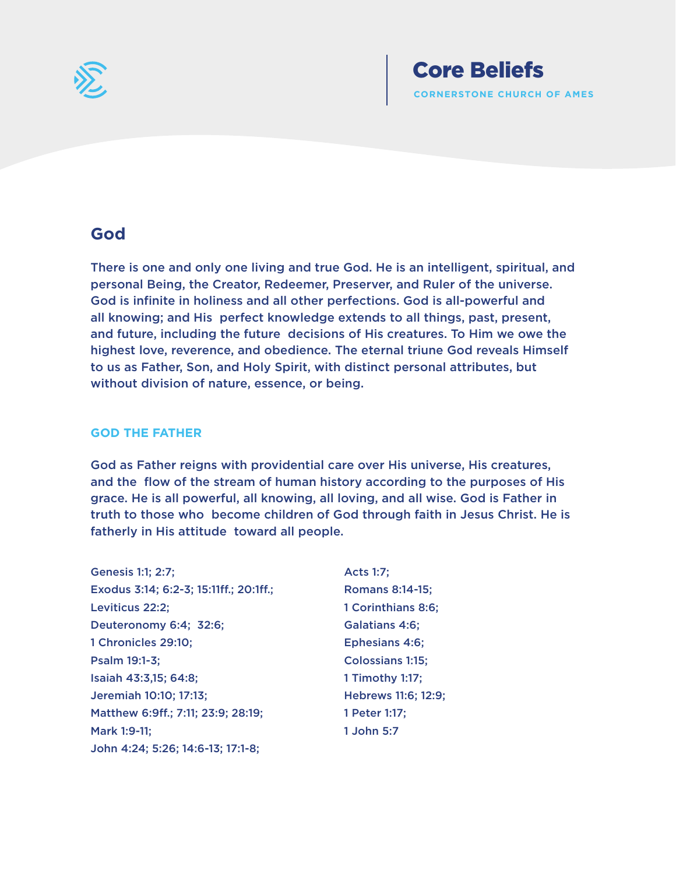

### **God**

There is one and only one living and true God. He is an intelligent, spiritual, and personal Being, the Creator, Redeemer, Preserver, and Ruler of the universe. God is infinite in holiness and all other perfections. God is all-powerful and all knowing; and His perfect knowledge extends to all things, past, present, and future, including the future decisions of His creatures. To Him we owe the highest love, reverence, and obedience. The eternal triune God reveals Himself to us as Father, Son, and Holy Spirit, with distinct personal attributes, but without division of nature, essence, or being.

### **GOD THE FATHER**

God as Father reigns with providential care over His universe, His creatures, and the flow of the stream of human history according to the purposes of His grace. He is all powerful, all knowing, all loving, and all wise. God is Father in truth to those who become children of God through faith in Jesus Christ. He is fatherly in His attitude toward all people.

- Genesis 1:1; 2:7; Exodus 3:14; 6:2-3; 15:11ff.; 20:1ff.; Leviticus 22:2; Deuteronomy 6:4; 32:6; 1 Chronicles 29:10; Psalm 19:1-3; Isaiah 43:3,15; 64:8; Jeremiah 10:10; 17:13; Matthew 6:9ff.; 7:11; 23:9; 28:19; Mark 1:9-11; John 4:24; 5:26; 14:6-13; 17:1-8;
- Acts 1:7; Romans 8:14-15; 1 Corinthians 8:6; Galatians 4:6; Ephesians 4:6; Colossians 1:15; 1 Timothy 1:17; Hebrews 11:6; 12:9; 1 Peter 1:17; 1 John 5:7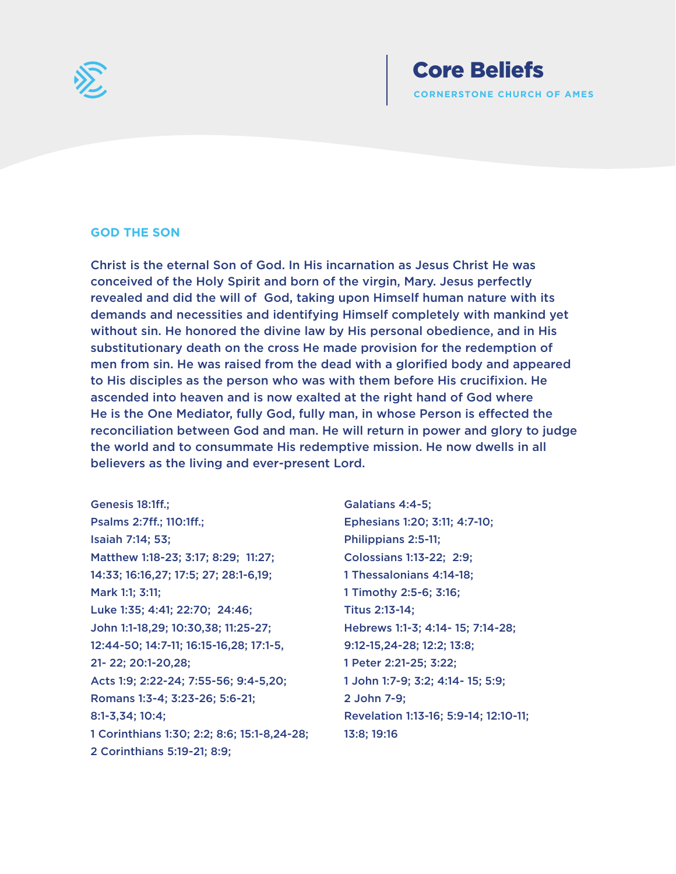

#### **GOD THE SON**

Christ is the eternal Son of God. In His incarnation as Jesus Christ He was conceived of the Holy Spirit and born of the virgin, Mary. Jesus perfectly revealed and did the will of God, taking upon Himself human nature with its demands and necessities and identifying Himself completely with mankind yet without sin. He honored the divine law by His personal obedience, and in His substitutionary death on the cross He made provision for the redemption of men from sin. He was raised from the dead with a glorified body and appeared to His disciples as the person who was with them before His crucifixion. He ascended into heaven and is now exalted at the right hand of God where He is the One Mediator, fully God, fully man, in whose Person is effected the reconciliation between God and man. He will return in power and glory to judge the world and to consummate His redemptive mission. He now dwells in all believers as the living and ever-present Lord.

Genesis 18:1ff.; Psalms 2:7ff.; 110:1ff.; Isaiah 7:14; 53; Matthew 1:18-23; 3:17; 8:29; 11:27; 14:33; 16:16,27; 17:5; 27; 28:1-6,19; Mark 1:1; 3:11; Luke 1:35; 4:41; 22:70; 24:46; John 1:1-18,29; 10:30,38; 11:25-27; 12:44-50; 14:7-11; 16:15-16,28; 17:1-5, 21- 22; 20:1-20,28; Acts 1:9; 2:22-24; 7:55-56; 9:4-5,20; Romans 1:3-4; 3:23-26; 5:6-21; 8:1-3,34; 10:4; 1 Corinthians 1:30; 2:2; 8:6; 15:1-8,24-28; 2 Corinthians 5:19-21; 8:9;

Galatians 4:4-5; Ephesians 1:20; 3:11; 4:7-10; Philippians 2:5-11; Colossians 1:13-22; 2:9; 1 Thessalonians 4:14-18; 1 Timothy 2:5-6; 3:16; Titus 2:13-14; Hebrews 1:1-3; 4:14- 15; 7:14-28; 9:12-15,24-28; 12:2; 13:8; 1 Peter 2:21-25; 3:22; 1 John 1:7-9; 3:2; 4:14- 15; 5:9; 2 John 7-9; Revelation 1:13-16; 5:9-14; 12:10-11; 13:8; 19:16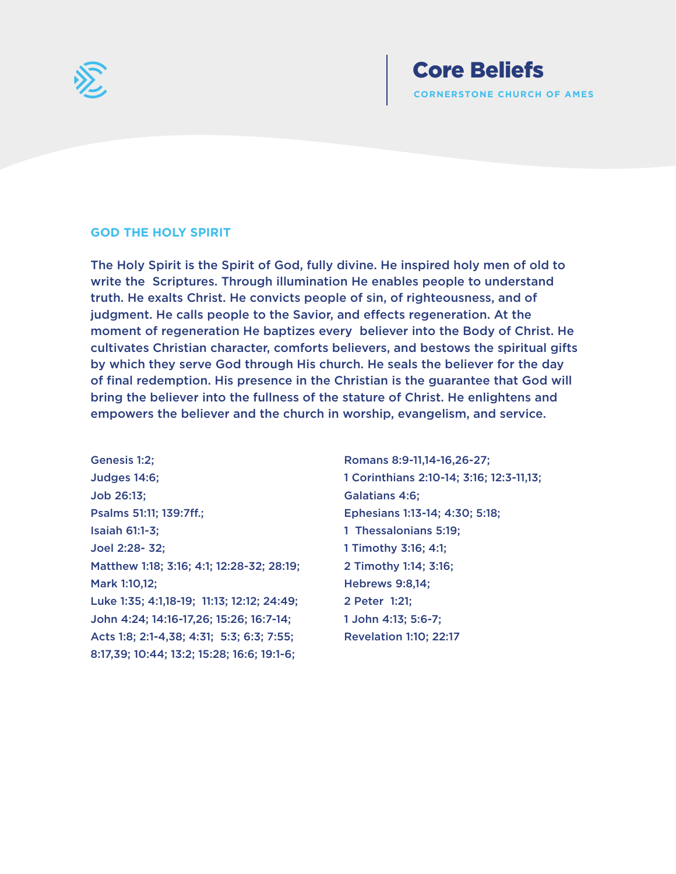

#### **GOD THE HOLY SPIRIT**

The Holy Spirit is the Spirit of God, fully divine. He inspired holy men of old to write the Scriptures. Through illumination He enables people to understand truth. He exalts Christ. He convicts people of sin, of righteousness, and of judgment. He calls people to the Savior, and effects regeneration. At the moment of regeneration He baptizes every believer into the Body of Christ. He cultivates Christian character, comforts believers, and bestows the spiritual gifts by which they serve God through His church. He seals the believer for the day of final redemption. His presence in the Christian is the guarantee that God will bring the believer into the fullness of the stature of Christ. He enlightens and empowers the believer and the church in worship, evangelism, and service.

Genesis 1:2; Judges 14:6; Job 26:13; Psalms 51:11; 139:7ff.; Isaiah 61:1-3; Joel 2:28- 32; Matthew 1:18; 3:16; 4:1; 12:28-32; 28:19; Mark 1:10,12; Luke 1:35; 4:1,18-19; 11:13; 12:12; 24:49; John 4:24; 14:16-17,26; 15:26; 16:7-14; Acts 1:8; 2:1-4,38; 4:31; 5:3; 6:3; 7:55; 8:17,39; 10:44; 13:2; 15:28; 16:6; 19:1-6;

Romans 8:9-11,14-16,26-27; 1 Corinthians 2:10-14; 3:16; 12:3-11,13; Galatians 4:6; Ephesians 1:13-14; 4:30; 5:18; 1 Thessalonians 5:19; 1 Timothy 3:16; 4:1; 2 Timothy 1:14; 3:16; Hebrews 9:8,14; 2 Peter 1:21; 1 John 4:13; 5:6-7; Revelation 1:10; 22:17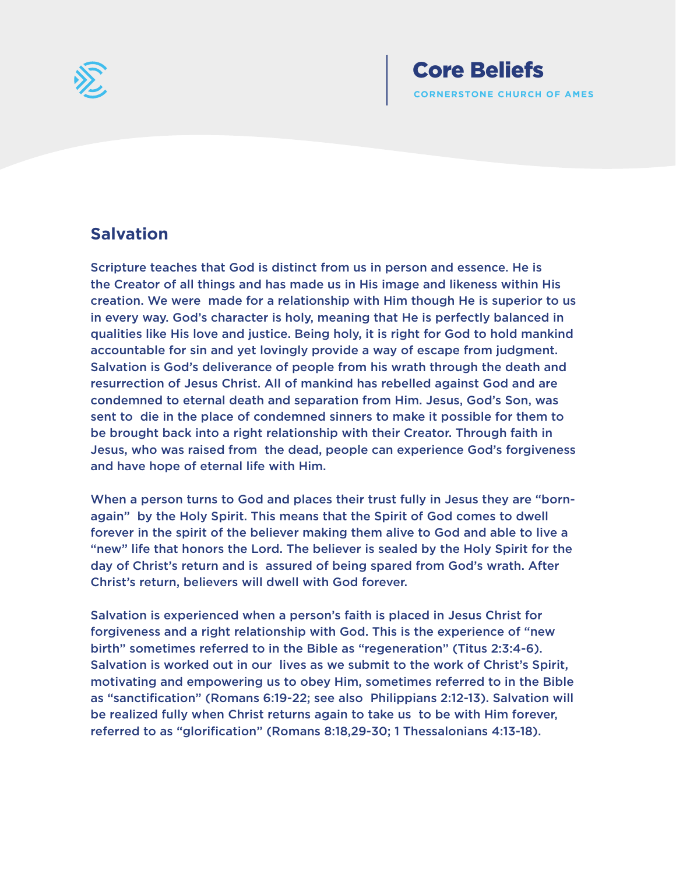

# **Salvation**

Scripture teaches that God is distinct from us in person and essence. He is the Creator of all things and has made us in His image and likeness within His creation. We were made for a relationship with Him though He is superior to us in every way. God's character is holy, meaning that He is perfectly balanced in qualities like His love and justice. Being holy, it is right for God to hold mankind accountable for sin and yet lovingly provide a way of escape from judgment. Salvation is God's deliverance of people from his wrath through the death and resurrection of Jesus Christ. All of mankind has rebelled against God and are condemned to eternal death and separation from Him. Jesus, God's Son, was sent to die in the place of condemned sinners to make it possible for them to be brought back into a right relationship with their Creator. Through faith in Jesus, who was raised from the dead, people can experience God's forgiveness and have hope of eternal life with Him.

When a person turns to God and places their trust fully in Jesus they are "bornagain" by the Holy Spirit. This means that the Spirit of God comes to dwell forever in the spirit of the believer making them alive to God and able to live a "new" life that honors the Lord. The believer is sealed by the Holy Spirit for the day of Christ's return and is assured of being spared from God's wrath. After Christ's return, believers will dwell with God forever.

Salvation is experienced when a person's faith is placed in Jesus Christ for forgiveness and a right relationship with God. This is the experience of "new birth" sometimes referred to in the Bible as "regeneration" (Titus 2:3:4-6). Salvation is worked out in our lives as we submit to the work of Christ's Spirit, motivating and empowering us to obey Him, sometimes referred to in the Bible as "sanctification" (Romans 6:19-22; see also Philippians 2:12-13). Salvation will be realized fully when Christ returns again to take us to be with Him forever, referred to as "glorification" (Romans 8:18,29-30; 1 Thessalonians 4:13-18).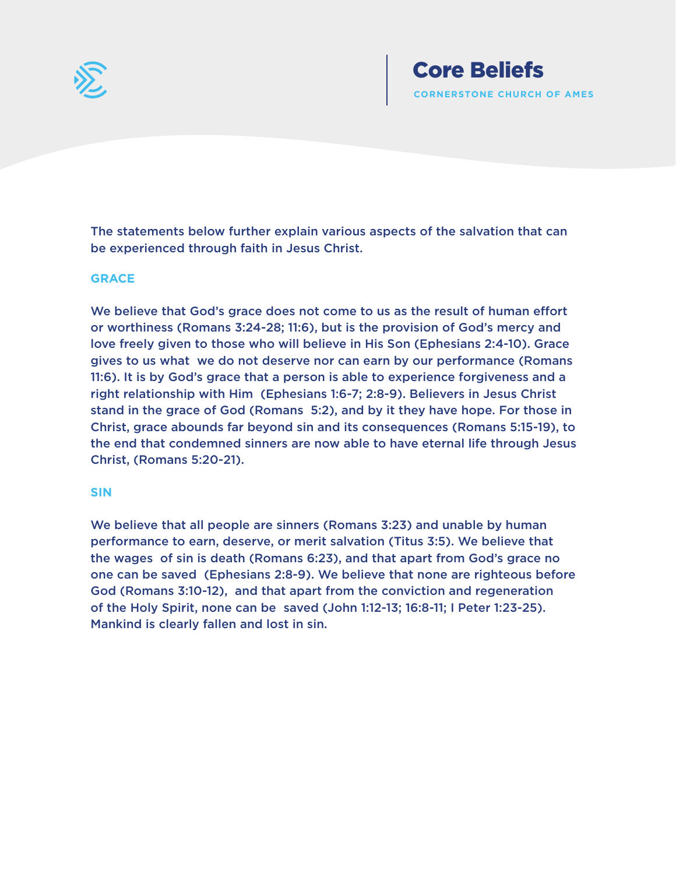

The statements below further explain various aspects of the salvation that can be experienced through faith in Jesus Christ.

#### **GRACE**

We believe that God's grace does not come to us as the result of human effort or worthiness (Romans 3:24-28; 11:6), but is the provision of God's mercy and love freely given to those who will believe in His Son (Ephesians 2:4-10). Grace gives to us what we do not deserve nor can earn by our performance (Romans 11:6). It is by God's grace that a person is able to experience forgiveness and a right relationship with Him (Ephesians 1:6-7; 2:8-9). Believers in Jesus Christ stand in the grace of God (Romans 5:2), and by it they have hope. For those in Christ, grace abounds far beyond sin and its consequences (Romans 5:15-19), to the end that condemned sinners are now able to have eternal life through Jesus Christ, (Romans 5:20-21).

#### **SIN**

We believe that all people are sinners (Romans 3:23) and unable by human performance to earn, deserve, or merit salvation (Titus 3:5). We believe that the wages of sin is death (Romans 6:23), and that apart from God's grace no one can be saved (Ephesians 2:8-9). We believe that none are righteous before God (Romans 3:10-12), and that apart from the conviction and regeneration of the Holy Spirit, none can be saved (John 1:12-13; 16:8-11; I Peter 1:23-25). Mankind is clearly fallen and lost in sin.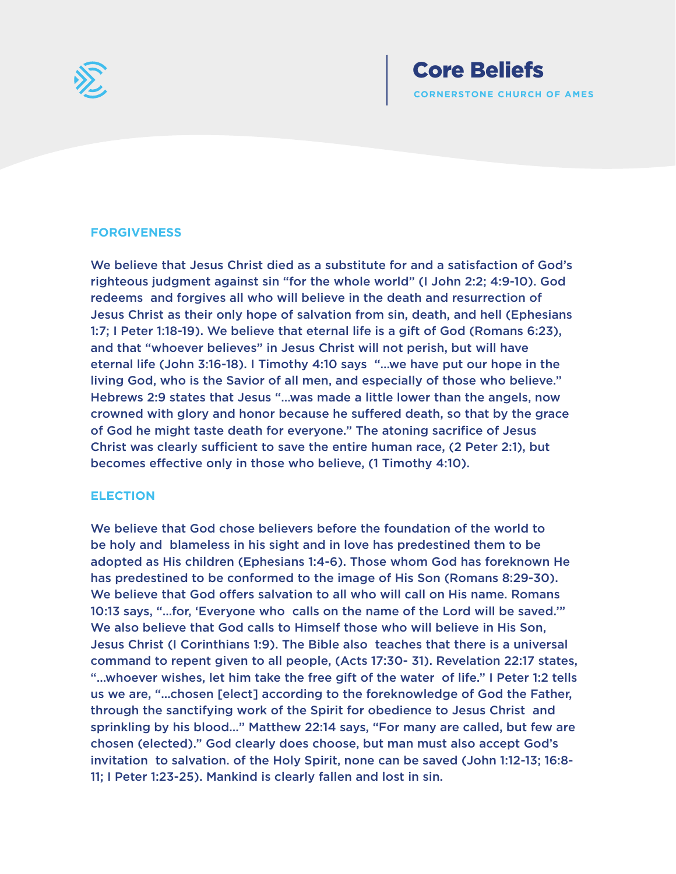

#### **FORGIVENESS**

We believe that Jesus Christ died as a substitute for and a satisfaction of God's righteous judgment against sin "for the whole world" (I John 2:2; 4:9-10). God redeems and forgives all who will believe in the death and resurrection of Jesus Christ as their only hope of salvation from sin, death, and hell (Ephesians 1:7; I Peter 1:18-19). We believe that eternal life is a gift of God (Romans 6:23), and that "whoever believes" in Jesus Christ will not perish, but will have eternal life (John 3:16-18). I Timothy 4:10 says "…we have put our hope in the living God, who is the Savior of all men, and especially of those who believe." Hebrews 2:9 states that Jesus "…was made a little lower than the angels, now crowned with glory and honor because he suffered death, so that by the grace of God he might taste death for everyone." The atoning sacrifice of Jesus Christ was clearly sufficient to save the entire human race, (2 Peter 2:1), but becomes effective only in those who believe, (1 Timothy 4:10).

#### **ELECTION**

We believe that God chose believers before the foundation of the world to be holy and blameless in his sight and in love has predestined them to be adopted as His children (Ephesians 1:4-6). Those whom God has foreknown He has predestined to be conformed to the image of His Son (Romans 8:29-30). We believe that God offers salvation to all who will call on His name. Romans 10:13 says, "…for, 'Everyone who calls on the name of the Lord will be saved.'" We also believe that God calls to Himself those who will believe in His Son, Jesus Christ (I Corinthians 1:9). The Bible also teaches that there is a universal command to repent given to all people, (Acts 17:30- 31). Revelation 22:17 states, "…whoever wishes, let him take the free gift of the water of life." I Peter 1:2 tells us we are, "…chosen [elect] according to the foreknowledge of God the Father, through the sanctifying work of the Spirit for obedience to Jesus Christ and sprinkling by his blood…" Matthew 22:14 says, "For many are called, but few are chosen (elected)." God clearly does choose, but man must also accept God's invitation to salvation. of the Holy Spirit, none can be saved (John 1:12-13; 16:8- 11; I Peter 1:23-25). Mankind is clearly fallen and lost in sin.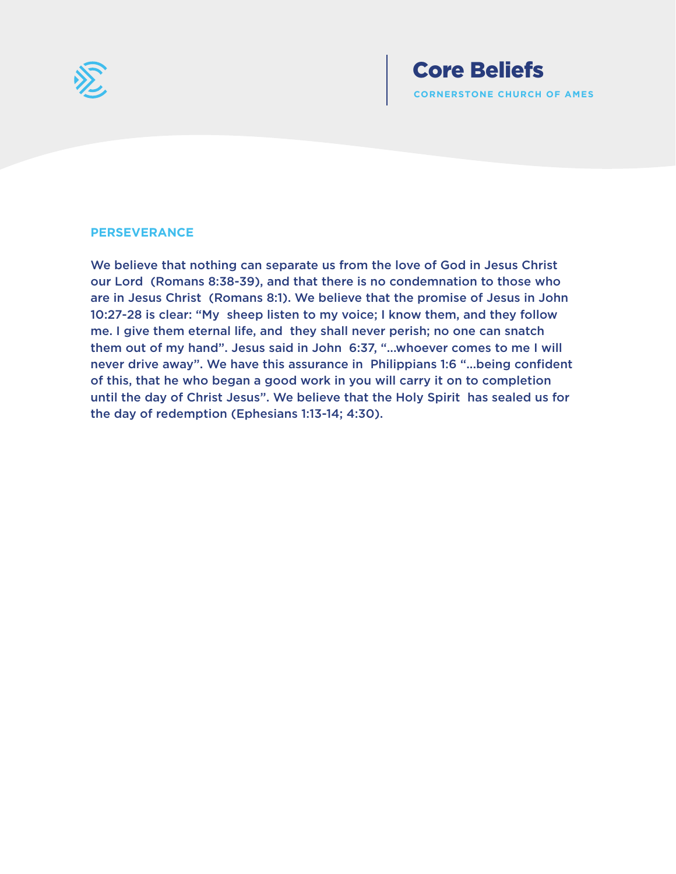

#### **PERSEVERANCE**

We believe that nothing can separate us from the love of God in Jesus Christ our Lord (Romans 8:38-39), and that there is no condemnation to those who are in Jesus Christ (Romans 8:1). We believe that the promise of Jesus in John 10:27-28 is clear: "My sheep listen to my voice; I know them, and they follow me. I give them eternal life, and they shall never perish; no one can snatch them out of my hand". Jesus said in John 6:37, "...whoever comes to me I will never drive away". We have this assurance in Philippians 1:6 "...being confident of this, that he who began a good work in you will carry it on to completion until the day of Christ Jesus". We believe that the Holy Spirit has sealed us for the day of redemption (Ephesians 1:13-14; 4:30).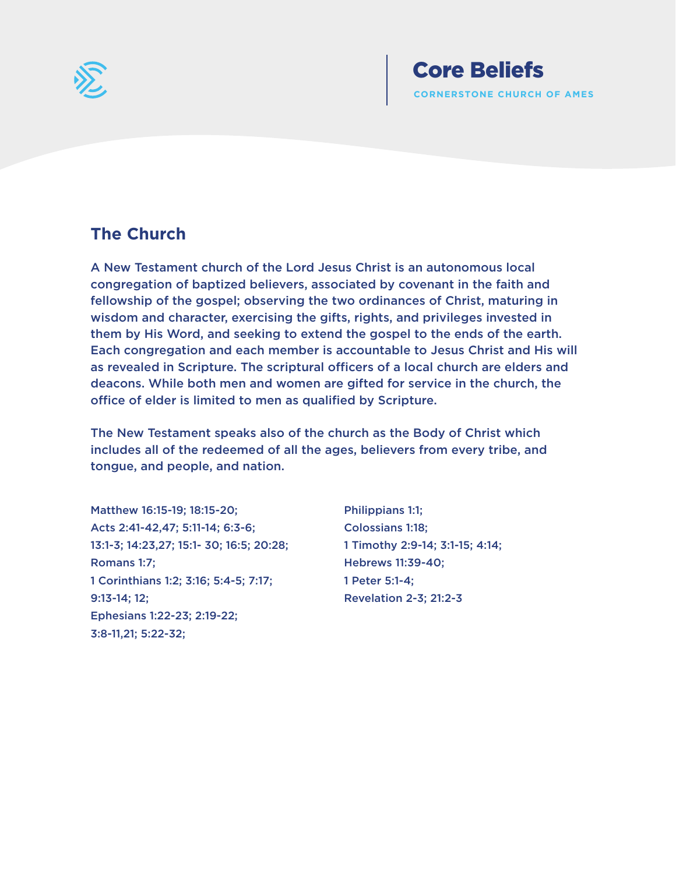

# **The Church**

A New Testament church of the Lord Jesus Christ is an autonomous local congregation of baptized believers, associated by covenant in the faith and fellowship of the gospel; observing the two ordinances of Christ, maturing in wisdom and character, exercising the gifts, rights, and privileges invested in them by His Word, and seeking to extend the gospel to the ends of the earth. Each congregation and each member is accountable to Jesus Christ and His will as revealed in Scripture. The scriptural officers of a local church are elders and deacons. While both men and women are gifted for service in the church, the office of elder is limited to men as qualified by Scripture.

The New Testament speaks also of the church as the Body of Christ which includes all of the redeemed of all the ages, believers from every tribe, and tongue, and people, and nation.

Matthew 16:15-19; 18:15-20; Acts 2:41-42,47; 5:11-14; 6:3-6; 13:1-3; 14:23,27; 15:1- 30; 16:5; 20:28; Romans 1:7; 1 Corinthians 1:2; 3:16; 5:4-5; 7:17; 9:13-14; 12; Ephesians 1:22-23; 2:19-22; 3:8-11,21; 5:22-32;

Philippians 1:1; Colossians 1:18; 1 Timothy 2:9-14; 3:1-15; 4:14; Hebrews 11:39-40; 1 Peter 5:1-4; Revelation 2-3; 21:2-3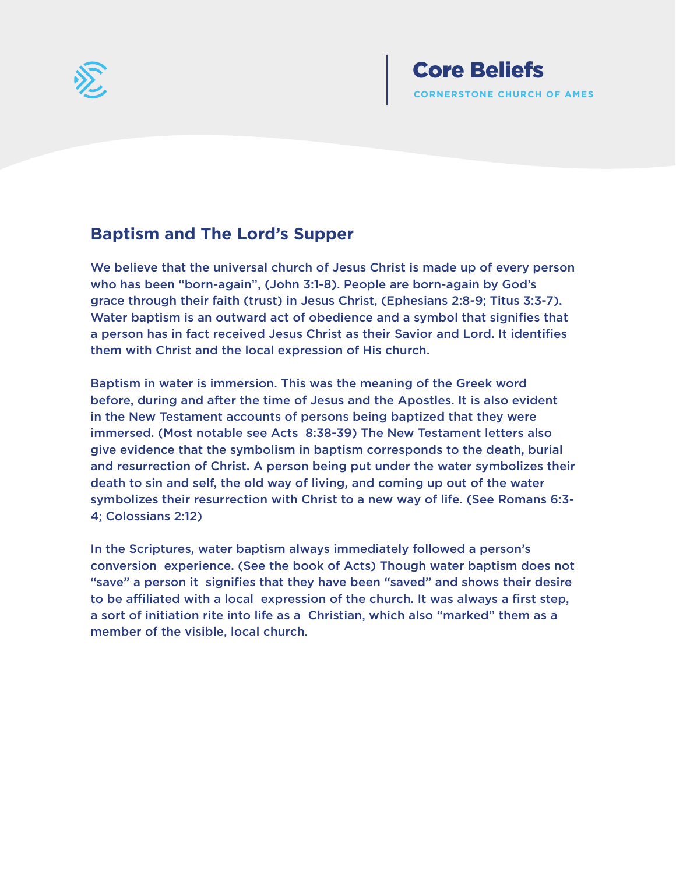

# **Baptism and The Lord's Supper**

We believe that the universal church of Jesus Christ is made up of every person who has been "born-again", (John 3:1-8). People are born-again by God's grace through their faith (trust) in Jesus Christ, (Ephesians 2:8-9; Titus 3:3-7). Water baptism is an outward act of obedience and a symbol that signifies that a person has in fact received Jesus Christ as their Savior and Lord. It identifies them with Christ and the local expression of His church.

Baptism in water is immersion. This was the meaning of the Greek word before, during and after the time of Jesus and the Apostles. It is also evident in the New Testament accounts of persons being baptized that they were immersed. (Most notable see Acts 8:38-39) The New Testament letters also give evidence that the symbolism in baptism corresponds to the death, burial and resurrection of Christ. A person being put under the water symbolizes their death to sin and self, the old way of living, and coming up out of the water symbolizes their resurrection with Christ to a new way of life. (See Romans 6:3- 4; Colossians 2:12)

In the Scriptures, water baptism always immediately followed a person's conversion experience. (See the book of Acts) Though water baptism does not "save" a person it signifies that they have been "saved" and shows their desire to be affiliated with a local expression of the church. It was always a first step, a sort of initiation rite into life as a Christian, which also "marked" them as a member of the visible, local church.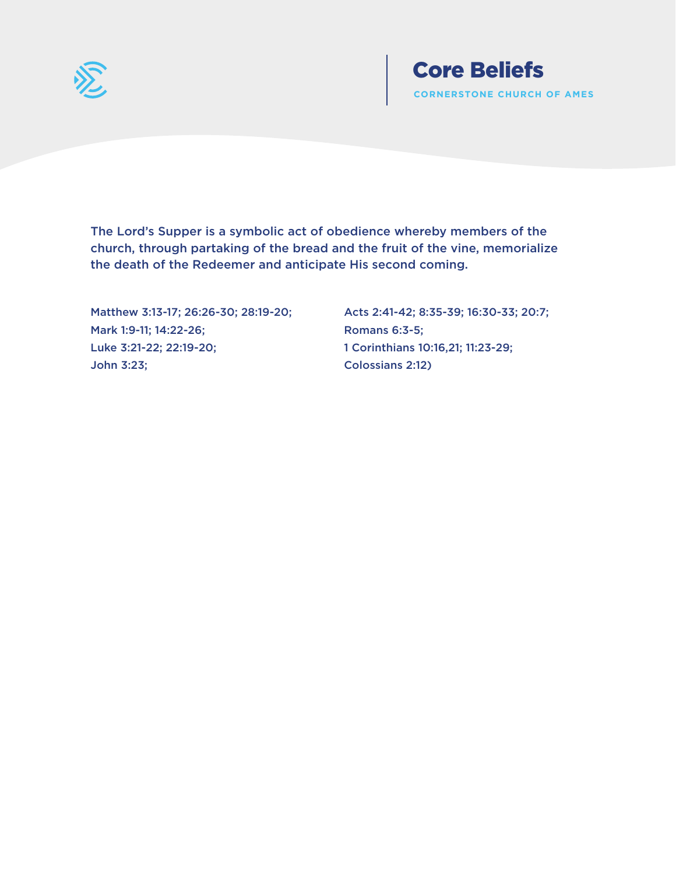

The Lord's Supper is a symbolic act of obedience whereby members of the church, through partaking of the bread and the fruit of the vine, memorialize the death of the Redeemer and anticipate His second coming.

Matthew 3:13-17; 26:26-30; 28:19-20; Mark 1:9-11; 14:22-26; Luke 3:21-22; 22:19-20; John 3:23;

Acts 2:41-42; 8:35-39; 16:30-33; 20:7; Romans 6:3-5; 1 Corinthians 10:16,21; 11:23-29; Colossians 2:12)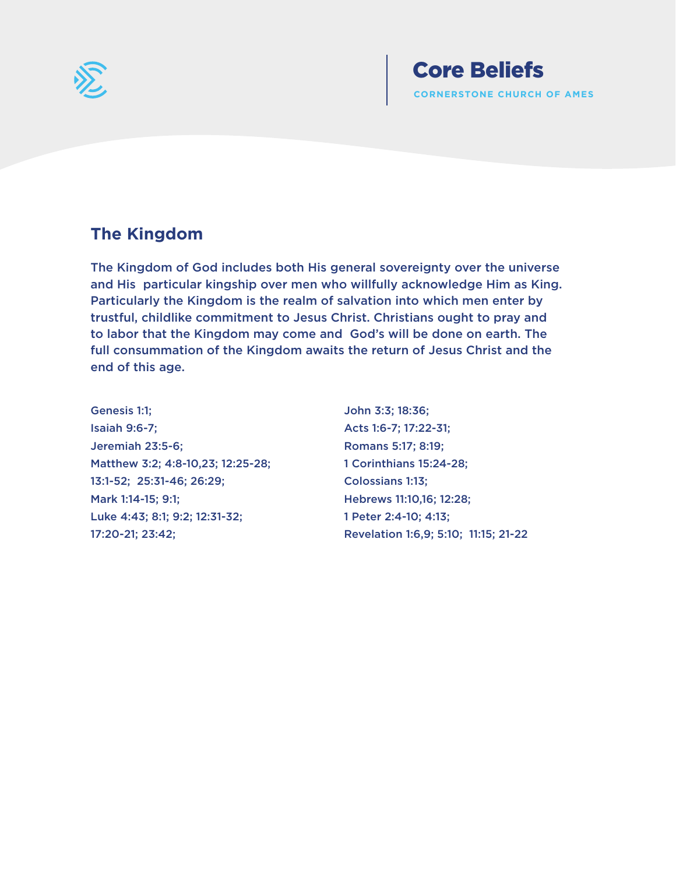

# **The Kingdom**

The Kingdom of God includes both His general sovereignty over the universe and His particular kingship over men who willfully acknowledge Him as King. Particularly the Kingdom is the realm of salvation into which men enter by trustful, childlike commitment to Jesus Christ. Christians ought to pray and to labor that the Kingdom may come and God's will be done on earth. The full consummation of the Kingdom awaits the return of Jesus Christ and the end of this age.

Genesis 1:1; Isaiah 9:6-7; Jeremiah 23:5-6; Matthew 3:2; 4:8-10,23; 12:25-28; 13:1-52; 25:31-46; 26:29; Mark 1:14-15; 9:1; Luke 4:43; 8:1; 9:2; 12:31-32; 17:20-21; 23:42;

John 3:3; 18:36; Acts 1:6-7; 17:22-31; Romans 5:17; 8:19; 1 Corinthians 15:24-28; Colossians 1:13; Hebrews 11:10,16; 12:28; 1 Peter 2:4-10; 4:13; Revelation 1:6,9; 5:10; 11:15; 21-22